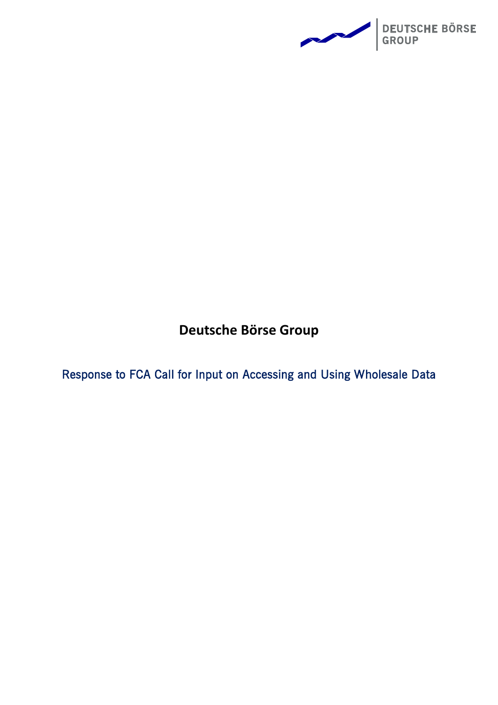

**Deutsche Börse Group**

Response to FCA Call for Input on Accessing and Using Wholesale Data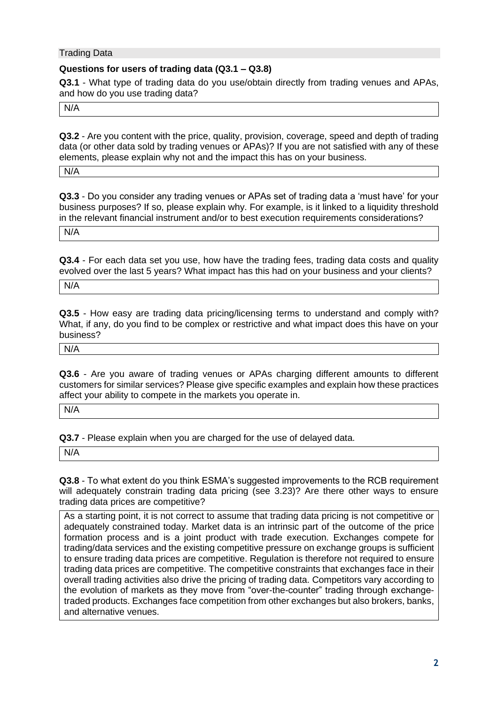### Trading Data

### **Questions for users of trading data (Q3.1 – Q3.8)**

**Q3.1** - What type of trading data do you use/obtain directly from trading venues and APAs, and how do you use trading data?

N/A

**Q3.2** - Are you content with the price, quality, provision, coverage, speed and depth of trading data (or other data sold by trading venues or APAs)? If you are not satisfied with any of these elements, please explain why not and the impact this has on your business.

N/A

**Q3.3** - Do you consider any trading venues or APAs set of trading data a 'must have' for your business purposes? If so, please explain why. For example, is it linked to a liquidity threshold in the relevant financial instrument and/or to best execution requirements considerations?

N/A

**Q3.4** - For each data set you use, how have the trading fees, trading data costs and quality evolved over the last 5 years? What impact has this had on your business and your clients?

N/A

**Q3.5** - How easy are trading data pricing/licensing terms to understand and comply with? What, if any, do you find to be complex or restrictive and what impact does this have on your business?

N/A

**Q3.6** - Are you aware of trading venues or APAs charging different amounts to different customers for similar services? Please give specific examples and explain how these practices affect your ability to compete in the markets you operate in.

N/A

**Q3.7** - Please explain when you are charged for the use of delayed data.

N/A

**Q3.8** - To what extent do you think ESMA's suggested improvements to the RCB requirement will adequately constrain trading data pricing (see 3.23)? Are there other ways to ensure trading data prices are competitive?

As a starting point, it is not correct to assume that trading data pricing is not competitive or adequately constrained today. Market data is an intrinsic part of the outcome of the price formation process and is a joint product with trade execution. Exchanges compete for trading/data services and the existing competitive pressure on exchange groups is sufficient to ensure trading data prices are competitive. Regulation is therefore not required to ensure trading data prices are competitive. The competitive constraints that exchanges face in their overall trading activities also drive the pricing of trading data. Competitors vary according to the evolution of markets as they move from "over-the-counter" trading through exchangetraded products. Exchanges face competition from other exchanges but also brokers, banks, and alternative venues.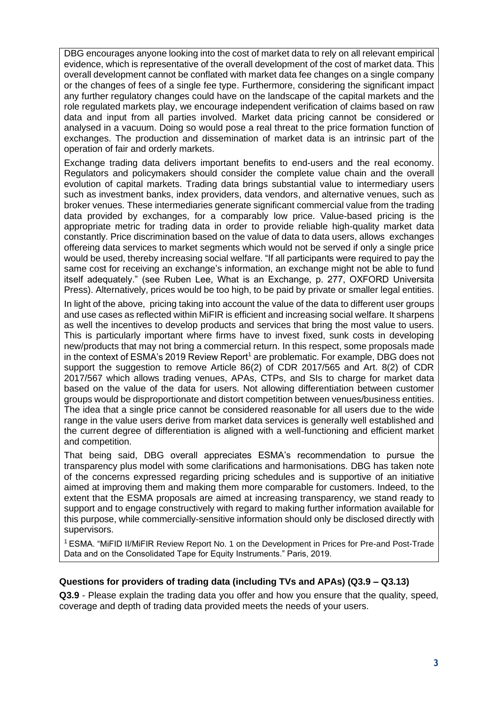DBG encourages anyone looking into the cost of market data to rely on all relevant empirical evidence, which is representative of the overall development of the cost of market data. This overall development cannot be conflated with market data fee changes on a single company or the changes of fees of a single fee type. Furthermore, considering the significant impact any further regulatory changes could have on the landscape of the capital markets and the role regulated markets play, we encourage independent verification of claims based on raw data and input from all parties involved. Market data pricing cannot be considered or analysed in a vacuum. Doing so would pose a real threat to the price formation function of exchanges. The production and dissemination of market data is an intrinsic part of the operation of fair and orderly markets.

Exchange trading data delivers important benefits to end-users and the real economy. Regulators and policymakers should consider the complete value chain and the overall evolution of capital markets. Trading data brings substantial value to intermediary users such as investment banks, index providers, data vendors, and alternative venues, such as broker venues. These intermediaries generate significant commercial value from the trading data provided by exchanges, for a comparably low price. Value-based pricing is the appropriate metric for trading data in order to provide reliable high-quality market data constantly. Price discrimination based on the value of data to data users, allows exchanges offereing data services to market segments which would not be served if only a single price would be used, thereby increasing social welfare. "If all participants were required to pay the same cost for receiving an exchange's information, an exchange might not be able to fund itself adequately." (see Ruben Lee, What is an Exchange, p. 277, OXFORD Universita Press). Alternatively, prices would be too high, to be paid by private or smaller legal entities.

In light of the above, pricing taking into account the value of the data to different user groups and use cases as reflected within MiFIR is efficient and increasing social welfare. It sharpens as well the incentives to develop products and services that bring the most value to users. This is particularly important where firms have to invest fixed, sunk costs in developing new/products that may not bring a commercial return. In this respect, some proposals made in the context of ESMA's 2019 Review Report<sup>1</sup> are problematic. For example, DBG does not support the suggestion to remove Article 86(2) of CDR 2017/565 and Art. 8(2) of CDR 2017/567 which allows trading venues, APAs, CTPs, and SIs to charge for market data based on the value of the data for users. Not allowing differentiation between customer groups would be disproportionate and distort competition between venues/business entities. The idea that a single price cannot be considered reasonable for all users due to the wide range in the value users derive from market data services is generally well established and the current degree of differentiation is aligned with a well-functioning and efficient market and competition.

That being said, DBG overall appreciates ESMA's recommendation to pursue the transparency plus model with some clarifications and harmonisations. DBG has taken note of the concerns expressed regarding pricing schedules and is supportive of an initiative aimed at improving them and making them more comparable for customers. Indeed, to the extent that the ESMA proposals are aimed at increasing transparency, we stand ready to support and to engage constructively with regard to making further information available for this purpose, while commercially-sensitive information should only be disclosed directly with supervisors.

<sup>1</sup> ESMA. "MiFID II/MiFIR Review Report No. 1 on the Development in Prices for Pre-and Post-Trade Data and on the Consolidated Tape for Equity Instruments." Paris, 2019.

# **Questions for providers of trading data (including TVs and APAs) (Q3.9 – Q3.13)**

**Q3.9** - Please explain the trading data you offer and how you ensure that the quality, speed, coverage and depth of trading data provided meets the needs of your users.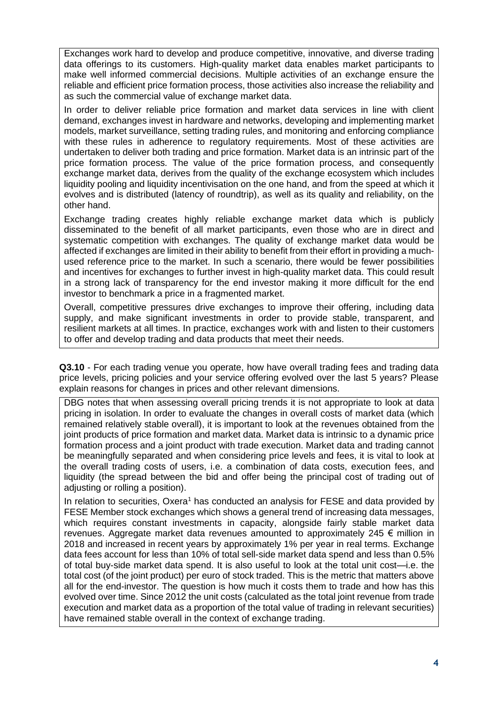Exchanges work hard to develop and produce competitive, innovative, and diverse trading data offerings to its customers. High-quality market data enables market participants to make well informed commercial decisions. Multiple activities of an exchange ensure the reliable and efficient price formation process, those activities also increase the reliability and as such the commercial value of exchange market data.

In order to deliver reliable price formation and market data services in line with client demand, exchanges invest in hardware and networks, developing and implementing market models, market surveillance, setting trading rules, and monitoring and enforcing compliance with these rules in adherence to regulatory requirements. Most of these activities are undertaken to deliver both trading and price formation. Market data is an intrinsic part of the price formation process. The value of the price formation process, and consequently exchange market data, derives from the quality of the exchange ecosystem which includes liquidity pooling and liquidity incentivisation on the one hand, and from the speed at which it evolves and is distributed (latency of roundtrip), as well as its quality and reliability, on the other hand.

Exchange trading creates highly reliable exchange market data which is publicly disseminated to the benefit of all market participants, even those who are in direct and systematic competition with exchanges. The quality of exchange market data would be affected if exchanges are limited in their ability to benefit from their effort in providing a muchused reference price to the market. In such a scenario, there would be fewer possibilities and incentives for exchanges to further invest in high-quality market data. This could result in a strong lack of transparency for the end investor making it more difficult for the end investor to benchmark a price in a fragmented market.

Overall, competitive pressures drive exchanges to improve their offering, including data supply, and make significant investments in order to provide stable, transparent, and resilient markets at all times. In practice, exchanges work with and listen to their customers to offer and develop trading and data products that meet their needs.

**Q3.10** - For each trading venue you operate, how have overall trading fees and trading data price levels, pricing policies and your service offering evolved over the last 5 years? Please explain reasons for changes in prices and other relevant dimensions.

DBG notes that when assessing overall pricing trends it is not appropriate to look at data pricing in isolation. In order to evaluate the changes in overall costs of market data (which remained relatively stable overall), it is important to look at the revenues obtained from the joint products of price formation and market data. Market data is intrinsic to a dynamic price formation process and a joint product with trade execution. Market data and trading cannot be meaningfully separated and when considering price levels and fees, it is vital to look at the overall trading costs of users, i.e. a combination of data costs, execution fees, and liquidity (the spread between the bid and offer being the principal cost of trading out of adjusting or rolling a position).

In relation to securities, Oxera<sup>1</sup> has conducted an analysis for FESE and data provided by FESE Member stock exchanges which shows a general trend of increasing data messages, which requires constant investments in capacity, alongside fairly stable market data revenues. Aggregate market data revenues amounted to approximately 245  $\epsilon$  million in 2018 and increased in recent years by approximately 1% per year in real terms. Exchange data fees account for less than 10% of total sell-side market data spend and less than 0.5% of total buy-side market data spend. It is also useful to look at the total unit cost—i.e. the total cost (of the joint product) per euro of stock traded. This is the metric that matters above all for the end-investor. The question is how much it costs them to trade and how has this evolved over time. Since 2012 the unit costs (calculated as the total joint revenue from trade execution and market data as a proportion of the total value of trading in relevant securities) have remained stable overall in the context of exchange trading.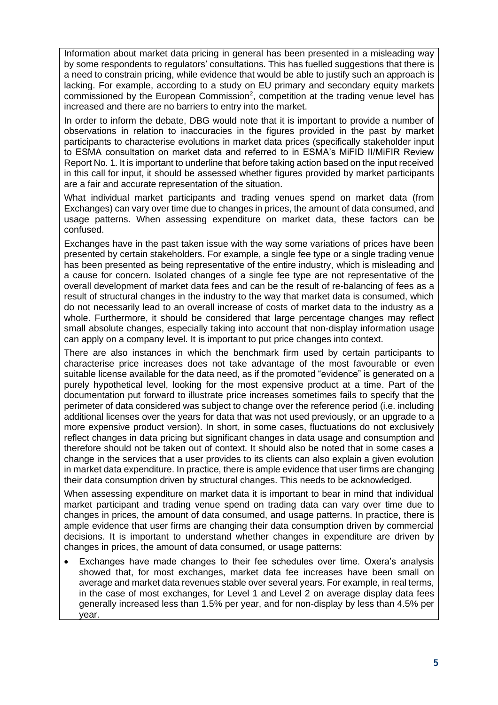Information about market data pricing in general has been presented in a misleading way by some respondents to regulators' consultations. This has fuelled suggestions that there is a need to constrain pricing, while evidence that would be able to justify such an approach is lacking. For example, according to a study on EU primary and secondary equity markets commissioned by the European Commission<sup>2</sup>, competition at the trading venue level has increased and there are no barriers to entry into the market.

In order to inform the debate, DBG would note that it is important to provide a number of observations in relation to inaccuracies in the figures provided in the past by market participants to characterise evolutions in market data prices (specifically stakeholder input to ESMA consultation on market data and referred to in ESMA's MiFID II/MiFIR Review Report No. 1. It is important to underline that before taking action based on the input received in this call for input, it should be assessed whether figures provided by market participants are a fair and accurate representation of the situation.

What individual market participants and trading venues spend on market data (from Exchanges) can vary over time due to changes in prices, the amount of data consumed, and usage patterns. When assessing expenditure on market data, these factors can be confused.

Exchanges have in the past taken issue with the way some variations of prices have been presented by certain stakeholders. For example, a single fee type or a single trading venue has been presented as being representative of the entire industry, which is misleading and a cause for concern. Isolated changes of a single fee type are not representative of the overall development of market data fees and can be the result of re-balancing of fees as a result of structural changes in the industry to the way that market data is consumed, which do not necessarily lead to an overall increase of costs of market data to the industry as a whole. Furthermore, it should be considered that large percentage changes may reflect small absolute changes, especially taking into account that non-display information usage can apply on a company level. It is important to put price changes into context.

There are also instances in which the benchmark firm used by certain participants to characterise price increases does not take advantage of the most favourable or even suitable license available for the data need, as if the promoted "evidence" is generated on a purely hypothetical level, looking for the most expensive product at a time. Part of the documentation put forward to illustrate price increases sometimes fails to specify that the perimeter of data considered was subject to change over the reference period (i.e. including additional licenses over the years for data that was not used previously, or an upgrade to a more expensive product version). In short, in some cases, fluctuations do not exclusively reflect changes in data pricing but significant changes in data usage and consumption and therefore should not be taken out of context. It should also be noted that in some cases a change in the services that a user provides to its clients can also explain a given evolution in market data expenditure. In practice, there is ample evidence that user firms are changing their data consumption driven by structural changes. This needs to be acknowledged.

When assessing expenditure on market data it is important to bear in mind that individual market participant and trading venue spend on trading data can vary over time due to changes in prices, the amount of data consumed, and usage patterns. In practice, there is ample evidence that user firms are changing their data consumption driven by commercial decisions. It is important to understand whether changes in expenditure are driven by changes in prices, the amount of data consumed, or usage patterns:

• Exchanges have made changes to their fee schedules over time. Oxera's analysis showed that, for most exchanges, market data fee increases have been small on average and market data revenues stable over several years. For example, in real terms, in the case of most exchanges, for Level 1 and Level 2 on average display data fees generally increased less than 1.5% per year, and for non-display by less than 4.5% per year.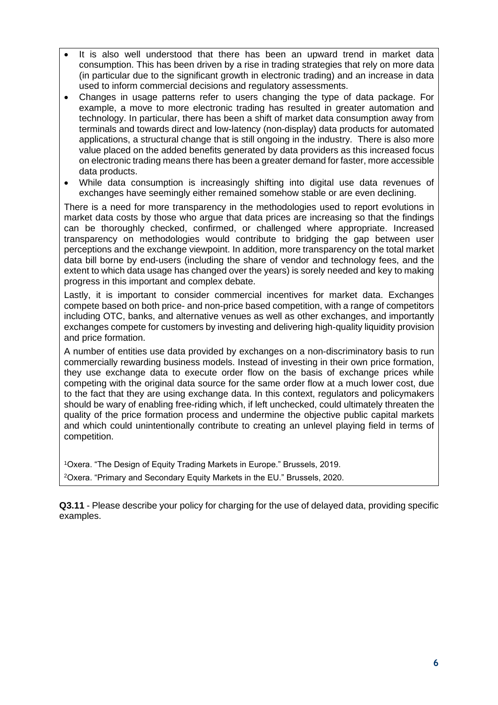- It is also well understood that there has been an upward trend in market data consumption. This has been driven by a rise in trading strategies that rely on more data (in particular due to the significant growth in electronic trading) and an increase in data used to inform commercial decisions and regulatory assessments.
- Changes in usage patterns refer to users changing the type of data package. For example, a move to more electronic trading has resulted in greater automation and technology. In particular, there has been a shift of market data consumption away from terminals and towards direct and low-latency (non-display) data products for automated applications, a structural change that is still ongoing in the industry. There is also more value placed on the added benefits generated by data providers as this increased focus on electronic trading means there has been a greater demand for faster, more accessible data products.
- While data consumption is increasingly shifting into digital use data revenues of exchanges have seemingly either remained somehow stable or are even declining.

There is a need for more transparency in the methodologies used to report evolutions in market data costs by those who argue that data prices are increasing so that the findings can be thoroughly checked, confirmed, or challenged where appropriate. Increased transparency on methodologies would contribute to bridging the gap between user perceptions and the exchange viewpoint. In addition, more transparency on the total market data bill borne by end-users (including the share of vendor and technology fees, and the extent to which data usage has changed over the years) is sorely needed and key to making progress in this important and complex debate.

Lastly, it is important to consider commercial incentives for market data. Exchanges compete based on both price- and non-price based competition, with a range of competitors including OTC, banks, and alternative venues as well as other exchanges, and importantly exchanges compete for customers by investing and delivering high-quality liquidity provision and price formation.

A number of entities use data provided by exchanges on a non-discriminatory basis to run commercially rewarding business models. Instead of investing in their own price formation, they use exchange data to execute order flow on the basis of exchange prices while competing with the original data source for the same order flow at a much lower cost, due to the fact that they are using exchange data. In this context, regulators and policymakers should be wary of enabling free-riding which, if left unchecked, could ultimately threaten the quality of the price formation process and undermine the objective public capital markets and which could unintentionally contribute to creating an unlevel playing field in terms of competition.

<sup>1</sup>Oxera. "The Design of Equity Trading Markets in Europe." Brussels, 2019. <sup>2</sup>Oxera. "Primary and Secondary Equity Markets in the EU." Brussels, 2020.

**Q3.11** - Please describe your policy for charging for the use of delayed data, providing specific examples.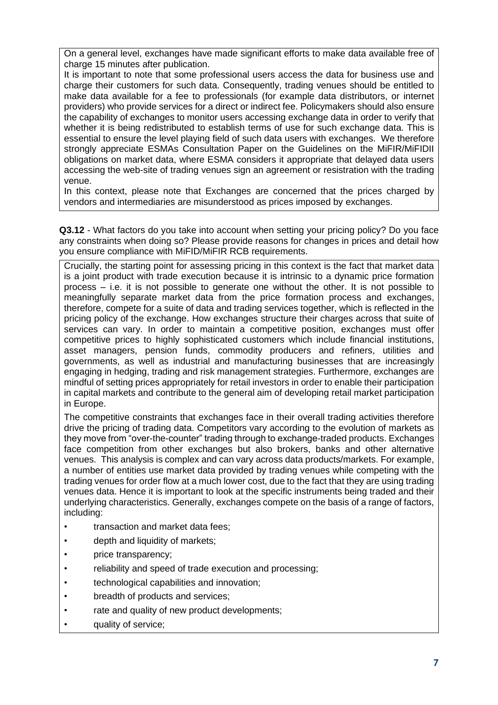On a general level, exchanges have made significant efforts to make data available free of charge 15 minutes after publication.

It is important to note that some professional users access the data for business use and charge their customers for such data. Consequently, trading venues should be entitled to make data available for a fee to professionals (for example data distributors, or internet providers) who provide services for a direct or indirect fee. Policymakers should also ensure the capability of exchanges to monitor users accessing exchange data in order to verify that whether it is being redistributed to establish terms of use for such exchange data. This is essential to ensure the level playing field of such data users with exchanges. We therefore strongly appreciate ESMAs Consultation Paper on the Guidelines on the MiFIR/MiFIDII obligations on market data, where ESMA considers it appropriate that delayed data users accessing the web-site of trading venues sign an agreement or resistration with the trading venue.

In this context, please note that Exchanges are concerned that the prices charged by vendors and intermediaries are misunderstood as prices imposed by exchanges.

**Q3.12** - What factors do you take into account when setting your pricing policy? Do you face any constraints when doing so? Please provide reasons for changes in prices and detail how you ensure compliance with MiFID/MiFIR RCB requirements.

Crucially, the starting point for assessing pricing in this context is the fact that market data is a joint product with trade execution because it is intrinsic to a dynamic price formation process – i.e. it is not possible to generate one without the other. It is not possible to meaningfully separate market data from the price formation process and exchanges, therefore, compete for a suite of data and trading services together, which is reflected in the pricing policy of the exchange. How exchanges structure their charges across that suite of services can vary. In order to maintain a competitive position, exchanges must offer competitive prices to highly sophisticated customers which include financial institutions, asset managers, pension funds, commodity producers and refiners, utilities and governments, as well as industrial and manufacturing businesses that are increasingly engaging in hedging, trading and risk management strategies. Furthermore, exchanges are mindful of setting prices appropriately for retail investors in order to enable their participation in capital markets and contribute to the general aim of developing retail market participation in Europe.

The competitive constraints that exchanges face in their overall trading activities therefore drive the pricing of trading data. Competitors vary according to the evolution of markets as they move from "over-the-counter" trading through to exchange-traded products. Exchanges face competition from other exchanges but also brokers, banks and other alternative venues. This analysis is complex and can vary across data products/markets. For example, a number of entities use market data provided by trading venues while competing with the trading venues for order flow at a much lower cost, due to the fact that they are using trading venues data. Hence it is important to look at the specific instruments being traded and their underlying characteristics. Generally, exchanges compete on the basis of a range of factors, including:

- transaction and market data fees;
- depth and liquidity of markets;
- price transparency;
- reliability and speed of trade execution and processing;
- technological capabilities and innovation;
- breadth of products and services;
- rate and quality of new product developments;
- quality of service;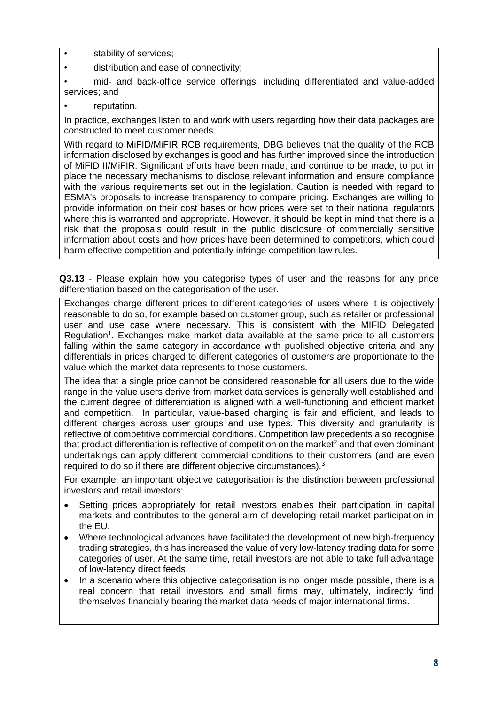- stability of services;
- distribution and ease of connectivity;
- mid- and back-office service offerings, including differentiated and value-added services; and
- reputation.

In practice, exchanges listen to and work with users regarding how their data packages are constructed to meet customer needs.

With regard to MiFID/MiFIR RCB requirements, DBG believes that the quality of the RCB information disclosed by exchanges is good and has further improved since the introduction of MiFID II/MiFIR. Significant efforts have been made, and continue to be made, to put in place the necessary mechanisms to disclose relevant information and ensure compliance with the various requirements set out in the legislation. Caution is needed with regard to ESMA's proposals to increase transparency to compare pricing. Exchanges are willing to provide information on their cost bases or how prices were set to their national regulators where this is warranted and appropriate. However, it should be kept in mind that there is a risk that the proposals could result in the public disclosure of commercially sensitive information about costs and how prices have been determined to competitors, which could harm effective competition and potentially infringe competition law rules.

**Q3.13** - Please explain how you categorise types of user and the reasons for any price differentiation based on the categorisation of the user.

Exchanges charge different prices to different categories of users where it is objectively reasonable to do so, for example based on customer group, such as retailer or professional user and use case where necessary. This is consistent with the MIFID Delegated Regulation<sup>1</sup>. Exchanges make market data available at the same price to all customers falling within the same category in accordance with published objective criteria and any differentials in prices charged to different categories of customers are proportionate to the value which the market data represents to those customers.

The idea that a single price cannot be considered reasonable for all users due to the wide range in the value users derive from market data services is generally well established and the current degree of differentiation is aligned with a well-functioning and efficient market and competition. In particular, value-based charging is fair and efficient, and leads to different charges across user groups and use types. This diversity and granularity is reflective of competitive commercial conditions. Competition law precedents also recognise that product differentiation is reflective of competition on the market<sup>2</sup> and that even dominant undertakings can apply different commercial conditions to their customers (and are even required to do so if there are different objective circumstances).<sup>3</sup>

For example, an important objective categorisation is the distinction between professional investors and retail investors:

- Setting prices appropriately for retail investors enables their participation in capital markets and contributes to the general aim of developing retail market participation in the EU.
- Where technological advances have facilitated the development of new high-frequency trading strategies, this has increased the value of very low-latency trading data for some categories of user. At the same time, retail investors are not able to take full advantage of low-latency direct feeds.
- In a scenario where this objective categorisation is no longer made possible, there is a real concern that retail investors and small firms may, ultimately, indirectly find themselves financially bearing the market data needs of major international firms.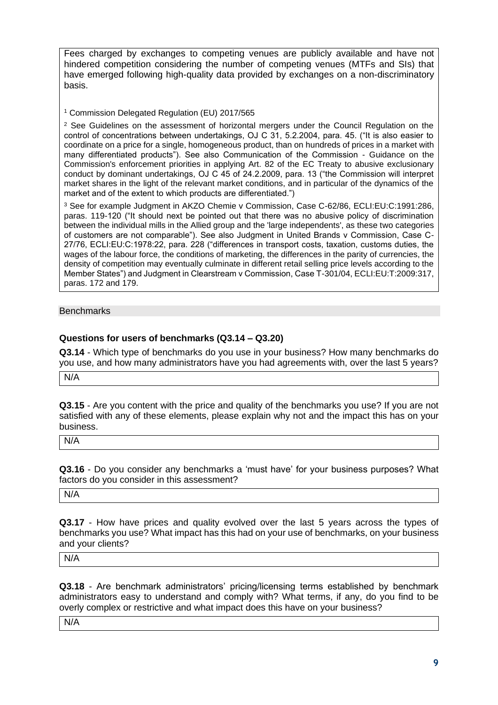Fees charged by exchanges to competing venues are publicly available and have not hindered competition considering the number of competing venues (MTFs and SIs) that have emerged following high-quality data provided by exchanges on a non-discriminatory basis.

<sup>1</sup> Commission Delegated Regulation (EU) 2017/565

<sup>2</sup> See Guidelines on the assessment of horizontal mergers under the Council Regulation on the control of concentrations between undertakings, OJ C 31, 5.2.2004, para. 45. ("It is also easier to coordinate on a price for a single, homogeneous product, than on hundreds of prices in a market with many differentiated products"). See also Communication of the Commission - Guidance on the Commission's enforcement priorities in applying Art. 82 of the EC Treaty to abusive exclusionary conduct by dominant undertakings, OJ C 45 of 24.2.2009, para. 13 ("the Commission will interpret market shares in the light of the relevant market conditions, and in particular of the dynamics of the market and of the extent to which products are differentiated.")

<sup>3</sup> See for example Judgment in AKZO Chemie v Commission, Case C-62/86, ECLI:EU:C:1991:286, paras. 119-120 ("It should next be pointed out that there was no abusive policy of discrimination between the individual mills in the Allied group and the 'large independents', as these two categories of customers are not comparable"). See also Judgment in United Brands v Commission, Case C-27/76, ECLI:EU:C:1978:22, para. 228 ("differences in transport costs, taxation, customs duties, the wages of the labour force, the conditions of marketing, the differences in the parity of currencies, the density of competition may eventually culminate in different retail selling price levels according to the Member States") and Judgment in Clearstream v Commission, Case T-301/04, ECLI:EU:T:2009:317, paras. 172 and 179.

#### **Benchmarks**

### **Questions for users of benchmarks (Q3.14 – Q3.20)**

**Q3.14** - Which type of benchmarks do you use in your business? How many benchmarks do you use, and how many administrators have you had agreements with, over the last 5 years?

N/A

**Q3.15** - Are you content with the price and quality of the benchmarks you use? If you are not satisfied with any of these elements, please explain why not and the impact this has on your business.

N/A

**Q3.16** - Do you consider any benchmarks a 'must have' for your business purposes? What factors do you consider in this assessment?

N/A

**Q3.17** - How have prices and quality evolved over the last 5 years across the types of benchmarks you use? What impact has this had on your use of benchmarks, on your business and your clients?

N/A

**Q3.18** - Are benchmark administrators' pricing/licensing terms established by benchmark administrators easy to understand and comply with? What terms, if any, do you find to be overly complex or restrictive and what impact does this have on your business?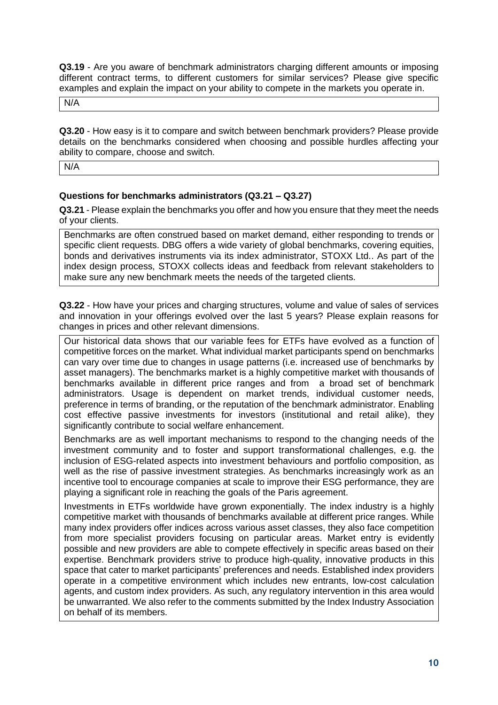**Q3.19** - Are you aware of benchmark administrators charging different amounts or imposing different contract terms, to different customers for similar services? Please give specific examples and explain the impact on your ability to compete in the markets you operate in.

N/A

**Q3.20** - How easy is it to compare and switch between benchmark providers? Please provide details on the benchmarks considered when choosing and possible hurdles affecting your ability to compare, choose and switch.

N/A

## **Questions for benchmarks administrators (Q3.21 – Q3.27)**

**Q3.21** - Please explain the benchmarks you offer and how you ensure that they meet the needs of your clients.

Benchmarks are often construed based on market demand, either responding to trends or specific client requests. DBG offers a wide variety of global benchmarks, covering equities, bonds and derivatives instruments via its index administrator, STOXX Ltd.. As part of the index design process, STOXX collects ideas and feedback from relevant stakeholders to make sure any new benchmark meets the needs of the targeted clients.

**Q3.22** - How have your prices and charging structures, volume and value of sales of services and innovation in your offerings evolved over the last 5 years? Please explain reasons for changes in prices and other relevant dimensions.

Our historical data shows that our variable fees for ETFs have evolved as a function of competitive forces on the market. What individual market participants spend on benchmarks can vary over time due to changes in usage patterns (i.e. increased use of benchmarks by asset managers). The benchmarks market is a highly competitive market with thousands of benchmarks available in different price ranges and from a broad set of benchmark administrators. Usage is dependent on market trends, individual customer needs, preference in terms of branding, or the reputation of the benchmark administrator. Enabling cost effective passive investments for investors (institutional and retail alike), they significantly contribute to social welfare enhancement.

Benchmarks are as well important mechanisms to respond to the changing needs of the investment community and to foster and support transformational challenges, e.g. the inclusion of ESG-related aspects into investment behaviours and portfolio composition, as well as the rise of passive investment strategies. As benchmarks increasingly work as an incentive tool to encourage companies at scale to improve their ESG performance, they are playing a significant role in reaching the goals of the Paris agreement.

Investments in ETFs worldwide have grown exponentially. The index industry is a highly competitive market with thousands of benchmarks available at different price ranges. While many index providers offer indices across various asset classes, they also face competition from more specialist providers focusing on particular areas. Market entry is evidently possible and new providers are able to compete effectively in specific areas based on their expertise. Benchmark providers strive to produce high-quality, innovative products in this space that cater to market participants' preferences and needs. Established index providers operate in a competitive environment which includes new entrants, low-cost calculation agents, and custom index providers. As such, any regulatory intervention in this area would be unwarranted. We also refer to the comments submitted by the Index Industry Association on behalf of its members.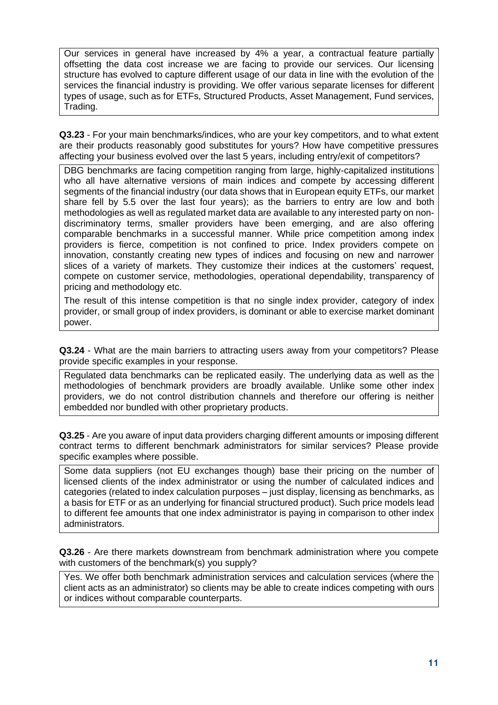Our services in general have increased by 4% a year, a contractual feature partially offsetting the data cost increase we are facing to provide our services. Our licensing structure has evolved to capture different usage of our data in line with the evolution of the services the financial industry is providing. We offer various separate licenses for different types of usage, such as for ETFs, Structured Products, Asset Management, Fund services, Trading.

**Q3.23** - For your main benchmarks/indices, who are your key competitors, and to what extent are their products reasonably good substitutes for yours? How have competitive pressures affecting your business evolved over the last 5 years, including entry/exit of competitors?

DBG benchmarks are facing competition ranging from large, highly-capitalized institutions who all have alternative versions of main indices and compete by accessing different segments of the financial industry (our data shows that in European equity ETFs, our market share fell by 5.5 over the last four years); as the barriers to entry are low and both methodologies as well as regulated market data are available to any interested party on nondiscriminatory terms, smaller providers have been emerging, and are also offering comparable benchmarks in a successful manner. While price competition among index providers is fierce, competition is not confined to price. Index providers compete on innovation, constantly creating new types of indices and focusing on new and narrower slices of a variety of markets. They customize their indices at the customers' request, compete on customer service, methodologies, operational dependability, transparency of pricing and methodology etc.

The result of this intense competition is that no single index provider, category of index provider, or small group of index providers, is dominant or able to exercise market dominant power.

**Q3.24** - What are the main barriers to attracting users away from your competitors? Please provide specific examples in your response.

Regulated data benchmarks can be replicated easily. The underlying data as well as the methodologies of benchmark providers are broadly available. Unlike some other index providers, we do not control distribution channels and therefore our offering is neither embedded nor bundled with other proprietary products.

**Q3.25** - Are you aware of input data providers charging different amounts or imposing different contract terms to different benchmark administrators for similar services? Please provide specific examples where possible.

Some data suppliers (not EU exchanges though) base their pricing on the number of licensed clients of the index administrator or using the number of calculated indices and categories (related to index calculation purposes – just display, licensing as benchmarks, as a basis for ETF or as an underlying for financial structured product). Such price models lead to different fee amounts that one index administrator is paying in comparison to other index administrators.

**Q3.26** - Are there markets downstream from benchmark administration where you compete with customers of the benchmark(s) you supply?

Yes. We offer both benchmark administration services and calculation services (where the client acts as an administrator) so clients may be able to create indices competing with ours or indices without comparable counterparts.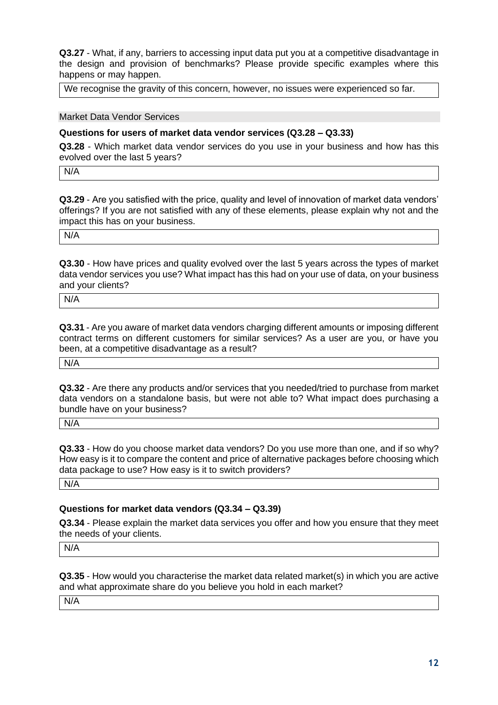**Q3.27** - What, if any, barriers to accessing input data put you at a competitive disadvantage in the design and provision of benchmarks? Please provide specific examples where this happens or may happen.

We recognise the gravity of this concern, however, no issues were experienced so far.

Market Data Vendor Services

#### **Questions for users of market data vendor services (Q3.28 – Q3.33)**

**Q3.28** - Which market data vendor services do you use in your business and how has this evolved over the last 5 years?

N/A

**Q3.29** - Are you satisfied with the price, quality and level of innovation of market data vendors' offerings? If you are not satisfied with any of these elements, please explain why not and the impact this has on your business.

N/A

**Q3.30** - How have prices and quality evolved over the last 5 years across the types of market data vendor services you use? What impact has this had on your use of data, on your business and your clients?

N/A

**Q3.31** - Are you aware of market data vendors charging different amounts or imposing different contract terms on different customers for similar services? As a user are you, or have you been, at a competitive disadvantage as a result?

N/A

**Q3.32** - Are there any products and/or services that you needed/tried to purchase from market data vendors on a standalone basis, but were not able to? What impact does purchasing a bundle have on your business?

N/A

**Q3.33** - How do you choose market data vendors? Do you use more than one, and if so why? How easy is it to compare the content and price of alternative packages before choosing which data package to use? How easy is it to switch providers?

N/A

### **Questions for market data vendors (Q3.34 – Q3.39)**

**Q3.34** - Please explain the market data services you offer and how you ensure that they meet the needs of your clients.

N/A

**Q3.35** - How would you characterise the market data related market(s) in which you are active and what approximate share do you believe you hold in each market?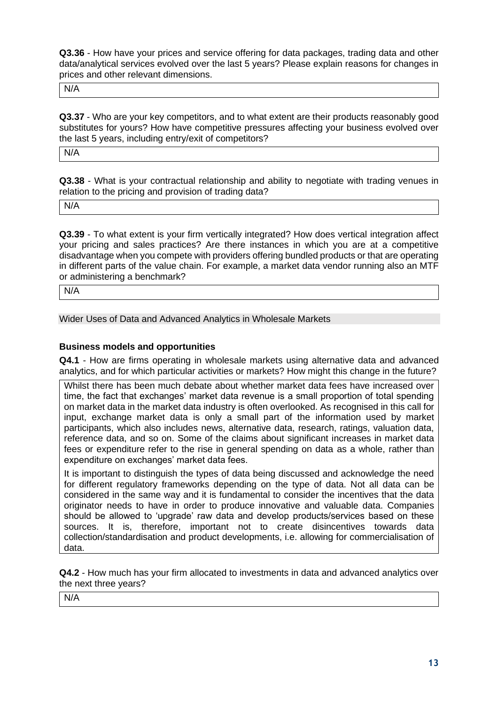**Q3.36** - How have your prices and service offering for data packages, trading data and other data/analytical services evolved over the last 5 years? Please explain reasons for changes in prices and other relevant dimensions.

N/A

**Q3.37** - Who are your key competitors, and to what extent are their products reasonably good substitutes for yours? How have competitive pressures affecting your business evolved over the last 5 years, including entry/exit of competitors?

N/A

**Q3.38** - What is your contractual relationship and ability to negotiate with trading venues in relation to the pricing and provision of trading data?

N/A

**Q3.39** - To what extent is your firm vertically integrated? How does vertical integration affect your pricing and sales practices? Are there instances in which you are at a competitive disadvantage when you compete with providers offering bundled products or that are operating in different parts of the value chain. For example, a market data vendor running also an MTF or administering a benchmark?

N/A

Wider Uses of Data and Advanced Analytics in Wholesale Markets

## **Business models and opportunities**

**Q4.1** - How are firms operating in wholesale markets using alternative data and advanced analytics, and for which particular activities or markets? How might this change in the future?

Whilst there has been much debate about whether market data fees have increased over time, the fact that exchanges' market data revenue is a small proportion of total spending on market data in the market data industry is often overlooked. As recognised in this call for input, exchange market data is only a small part of the information used by market participants, which also includes news, alternative data, research, ratings, valuation data, reference data, and so on. Some of the claims about significant increases in market data fees or expenditure refer to the rise in general spending on data as a whole, rather than expenditure on exchanges' market data fees.

It is important to distinguish the types of data being discussed and acknowledge the need for different regulatory frameworks depending on the type of data. Not all data can be considered in the same way and it is fundamental to consider the incentives that the data originator needs to have in order to produce innovative and valuable data. Companies should be allowed to 'upgrade' raw data and develop products/services based on these sources. It is, therefore, important not to create disincentives towards data collection/standardisation and product developments, i.e. allowing for commercialisation of data.

**Q4.2** - How much has your firm allocated to investments in data and advanced analytics over the next three years?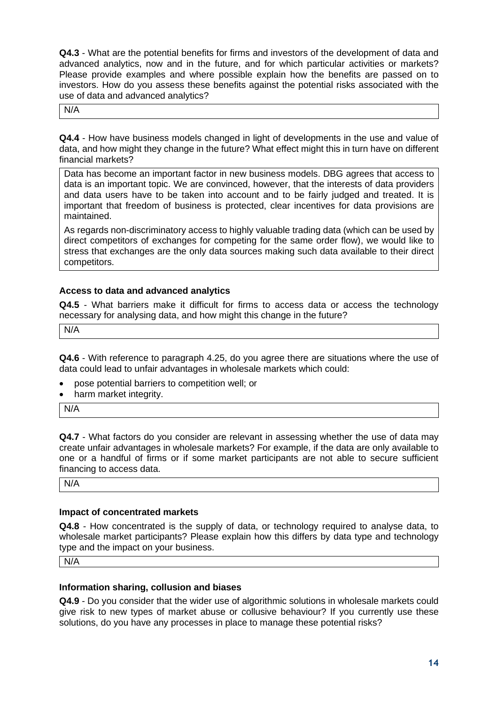**Q4.3** - What are the potential benefits for firms and investors of the development of data and advanced analytics, now and in the future, and for which particular activities or markets? Please provide examples and where possible explain how the benefits are passed on to investors. How do you assess these benefits against the potential risks associated with the use of data and advanced analytics?

N/A

**Q4.4** - How have business models changed in light of developments in the use and value of data, and how might they change in the future? What effect might this in turn have on different financial markets?

Data has become an important factor in new business models. DBG agrees that access to data is an important topic. We are convinced, however, that the interests of data providers and data users have to be taken into account and to be fairly judged and treated. It is important that freedom of business is protected, clear incentives for data provisions are maintained.

As regards non-discriminatory access to highly valuable trading data (which can be used by direct competitors of exchanges for competing for the same order flow), we would like to stress that exchanges are the only data sources making such data available to their direct competitors.

## **Access to data and advanced analytics**

**Q4.5** - What barriers make it difficult for firms to access data or access the technology necessary for analysing data, and how might this change in the future?

N/A

**Q4.6** - With reference to paragraph 4.25, do you agree there are situations where the use of data could lead to unfair advantages in wholesale markets which could:

- pose potential barriers to competition well; or
- harm market integrity.

N/A

**Q4.7** - What factors do you consider are relevant in assessing whether the use of data may create unfair advantages in wholesale markets? For example, if the data are only available to one or a handful of firms or if some market participants are not able to secure sufficient financing to access data.

N/A

### **Impact of concentrated markets**

**Q4.8** - How concentrated is the supply of data, or technology required to analyse data, to wholesale market participants? Please explain how this differs by data type and technology type and the impact on your business.

N/A

### **Information sharing, collusion and biases**

**Q4.9** - Do you consider that the wider use of algorithmic solutions in wholesale markets could give risk to new types of market abuse or collusive behaviour? If you currently use these solutions, do you have any processes in place to manage these potential risks?